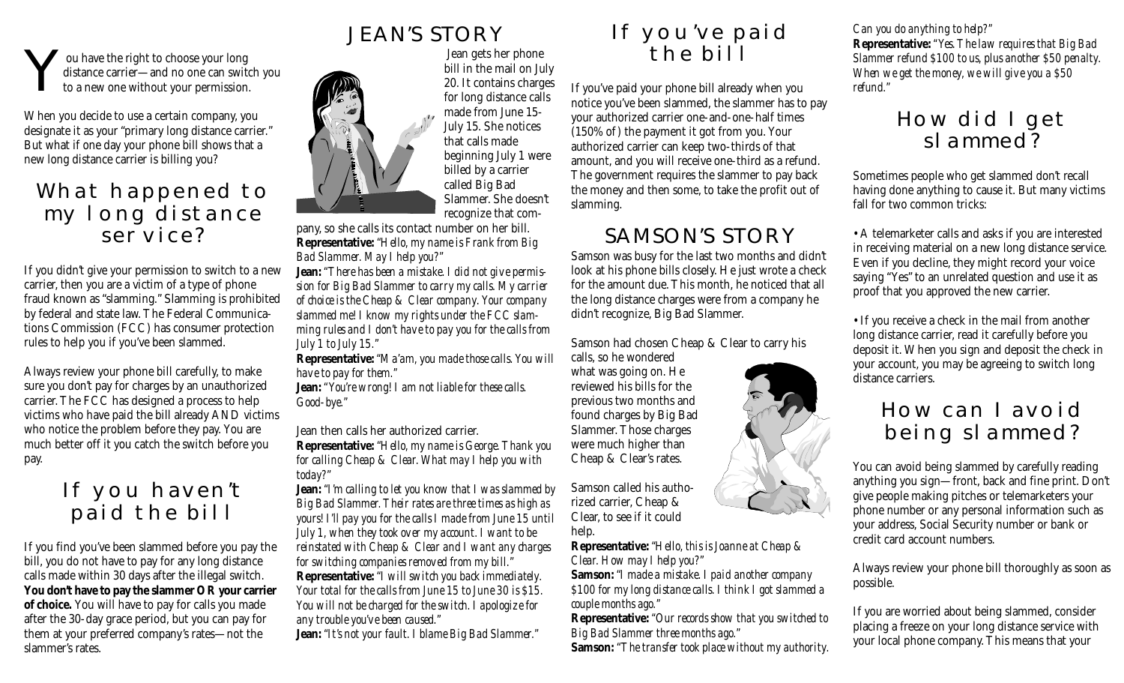You have the right to choose your long to a new one without your permission. distance carrier—and no one can switch you

When you decide to use a certain company, you designate it as your "primary long distance carrier." But what if one day your phone bill shows that a new long distance carrier is billing you?

### What happened to my long distance service?

If you didn't give your permission to switch to a new carrier, then you are a victim of a type of phone fraud known as "slamming." Slamming is prohibited by federal and state law. The Federal Communications Commission (FCC) has consumer protection rules to help you if you've been slammed.

Always review your phone bill carefully, to make sure you don't pay for charges by an unauthorized carrier. The FCC has designed a process to help victims who have paid the bill already AND victims who notice the problem before they pay. You are much better off it you catch the switch before you pay.

## If you haven't paid the bill

If you find you've been slammed before you pay the bill, you do not have to pay for any long distance calls made within 30 days after the illegal switch. **You don't have to pay the slammer OR your carrier of choice.** You will have to pay for calls you made after the 30-day grace period, but you can pay for them at your preferred company's rates—not the slammer's rates.



 Jean gets her phone bill in the mail on July 20. It contains charges for long distance calls made from June 15- July 15. She notices that calls made beginning July 1 were billed by a carrier called Big Bad Slammer. She doesn't recognize that com-

pany, so she calls its contact number on her bill. **Representative:** *"Hello, my name is Frank from Big Bad Slammer. May I help you?"*

**Jean:** *"There has been a mistake. I did not give permission for Big Bad Slammer to carry my calls. My carrier of choice is the Cheap & Clear company. Your company slammed me! I know my rights under the FCC slamming rules and I don't have to pay you for the calls from July 1 to July 15."*

**Representative:** *"Ma'am, you made those calls. You will have to pay for them."*

**Jean:** *"You're wrong! I am not liable for these calls. Good-bye."*

Jean then calls her authorized carrier.

**Representative:** *"Hello, my name is George. Thank you for calling Cheap & Clear. What may I help you with today?"*

**Jean:** *"I'm calling to let you know that I was slammed by Big Bad Slammer. Their rates are three times as high as yours! I'll pay you for the calls I made from June 15 until July 1, when they took over my account. I want to be reinstated with Cheap & Clear and I want any charges for switching companies removed from my bill."* **Representative:** *"I will switch you back immediately. Your total for the calls from June 15 to June 30 is \$15. You will not be charged for the switch. I apologize for any trouble you've been caused."*

**Jean:** *"It's not your fault. I blame Big Bad Slammer."*



If you've paid your phone bill already when you notice you've been slammed, the slammer has to pay your authorized carrier one-and-one-half times (150% of ) the payment it got from you. Your authorized carrier can keep two-thirds of that amount, and you will receive one-third as a refund. The government requires the slammer to pay back the money and then some, to take the profit out of slamming.

### SAMSON'S STORY

Samson was busy for the last two months and didn't look at his phone bills closely. He just wrote a check for the amount due. This month, he noticed that all the long distance charges were from a company he didn't recognize, Big Bad Slammer.

Samson had chosen Cheap & Clear to carry his

calls, so he wondered what was going on. He reviewed his bills for the previous two months and found charges by Big Bad Slammer. Those charges were much higher than Cheap & Clear's rates.

Samson called his authorized carrier, Cheap & Clear, to see if it could

help.

**Representative:** *"Hello, this is Joanne at Cheap & Clear. How may I help you?"*

**Samson:** *"I made a mistake. I paid another company \$100 for my long distance calls. I think I got slammed a couple months ago."*

**Representative:** *"Our records show that you switched to Big Bad Slammer three months ago."*

**Samson:** *"The transfer took place without my authority.*

*Can you do anything to help?"*

**Representative:** *"Yes. The law requires that Big Bad Slammer refund \$100 to us, plus another \$50 penalty. When we get the money, we will give you a \$50 refund."*

## How did I get slammed?

Sometimes people who get slammed don't recall having done anything to cause it. But many victims fall for two common tricks:

• A telemarketer calls and asks if you are interested in receiving material on a new long distance service. Even if you decline, they might record your voice saying "Yes" to an unrelated question and use it as proof that you approved the new carrier.

• If you receive a check in the mail from another long distance carrier, read it carefully before you deposit it. When you sign and deposit the check in your account, you may be agreeing to switch long distance carriers.

### How can I avoid being slammed?

You can avoid being slammed by carefully reading anything you sign—front, back and fine print. Don't give people making pitches or telemarketers your phone number or any personal information such as your address, Social Security number or bank or credit card account numbers.

Always review your phone bill thoroughly as soon as possible.

If you are worried about being slammed, consider placing a freeze on your long distance service with your local phone company. This means that your